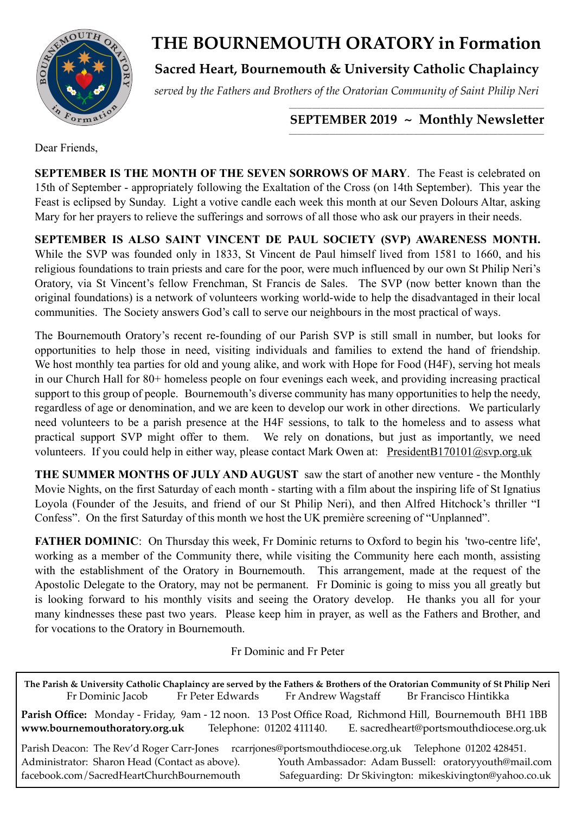

# **THE BOURNEMOUTH ORATORY in Formation**

**Sacred Heart, Bournemouth & University Catholic Chaplaincy**

*served by the Fathers and Brothers of the Oratorian Community of Saint Philip Neri*

### *\_\_\_\_\_\_\_\_\_\_\_\_\_\_\_\_\_\_\_\_\_\_\_\_\_\_\_\_\_\_\_\_\_\_\_\_\_\_\_\_\_\_\_\_\_\_\_\_\_\_\_\_\_\_\_\_\_\_\_\_\_\_\_\_\_\_\_\_\_\_\_\_\_\_\_\_\_\_\_\_\_\_\_\_\_\_\_\_* SEPTEMBER 2019 ~ Monthly Newsletter

Dear Friends,

**SEPTEMBER IS THE MONTH OF THE SEVEN SORROWS OF MARY**. The Feast is celebrated on 15th of September - appropriately following the Exaltation of the Cross (on 14th September). This year the Feast is eclipsed by Sunday. Light a votive candle each week this month at our Seven Dolours Altar, asking Mary for her prayers to relieve the sufferings and sorrows of all those who ask our prayers in their needs.

**SEPTEMBER IS ALSO SAINT VINCENT DE PAUL SOCIETY (SVP) AWARENESS MONTH.**  While the SVP was founded only in 1833, St Vincent de Paul himself lived from 1581 to 1660, and his religious foundations to train priests and care for the poor, were much influenced by our own St Philip Neri's Oratory, via St Vincent's fellow Frenchman, St Francis de Sales. The SVP (now better known than the original foundations) is a network of volunteers working world-wide to help the disadvantaged in their local communities. The Society answers God's call to serve our neighbours in the most practical of ways.

The Bournemouth Oratory's recent re-founding of our Parish SVP is still small in number, but looks for opportunities to help those in need, visiting individuals and families to extend the hand of friendship. We host monthly tea parties for old and young alike, and work with Hope for Food (H4F), serving hot meals in our Church Hall for 80+ homeless people on four evenings each week, and providing increasing practical support to this group of people. Bournemouth's diverse community has many opportunities to help the needy, regardless of age or denomination, and we are keen to develop our work in other directions. We particularly need volunteers to be a parish presence at the H4F sessions, to talk to the homeless and to assess what practical support SVP might offer to them. We rely on donations, but just as importantly, we need volunteers. If you could help in either way, please contact Mark Owen at: PresidentB170101@svp.org.uk

**THE SUMMER MONTHS OF JULY AND AUGUST** saw the start of another new venture - the Monthly Movie Nights, on the first Saturday of each month - starting with a film about the inspiring life of St Ignatius Loyola (Founder of the Jesuits, and friend of our St Philip Neri), and then Alfred Hitchock's thriller "I Confess". On the first Saturday of this month we host the UK première screening of "Unplanned".

**FATHER DOMINIC**: On Thursday this week, Fr Dominic returns to Oxford to begin his 'two-centre life', working as a member of the Community there, while visiting the Community here each month, assisting with the establishment of the Oratory in Bournemouth. This arrangement, made at the request of the Apostolic Delegate to the Oratory, may not be permanent. Fr Dominic is going to miss you all greatly but is looking forward to his monthly visits and seeing the Oratory develop. He thanks you all for your many kindnesses these past two years. Please keep him in prayer, as well as the Fathers and Brother, and for vocations to the Oratory in Bournemouth.

Fr Dominic and Fr Peter

**The Parish & University Catholic Chaplaincy are served by the Fathers & Brothers of the Oratorian Community of St Philip Neri** Fr Dominic Jacob Fr Peter Edwards Fr Andrew Wagstaff Br Francisco Hintikka **Parish Office:** Monday - Friday, 9am - 12 noon. 13 Post Office Road, Richmond Hill, Bournemouth BH1 1BB **[www.bournemouthoratory.org.uk](http://www.bournemoithoratory.org.uk)** Telephone: 01202 411140. E. [sacredheart@portsmouthdiocese.org.uk](mailto:sacredheart@portsmouthdiocese.org.uk) Parish Deacon: The Rev'd Roger Carr-Jones [rcarrjones@portsmouthdiocese.org.uk](mailto:rcarrjones@portsmouthdiocese.org.uk) Telephone 01202 428451. Administrator: Sharon Head (Contact as above). Youth Ambassador: Adam Bussell: [oratoryyouth@mail.com](http://oratoryyouth.mail.com) [facebook.com/SacredHeartChurchBournemouth](http://facebook.com/SaccredHeartChurchBournemouth) Safeguarding: Dr Skivington: mikeskivington@yahoo.co.uk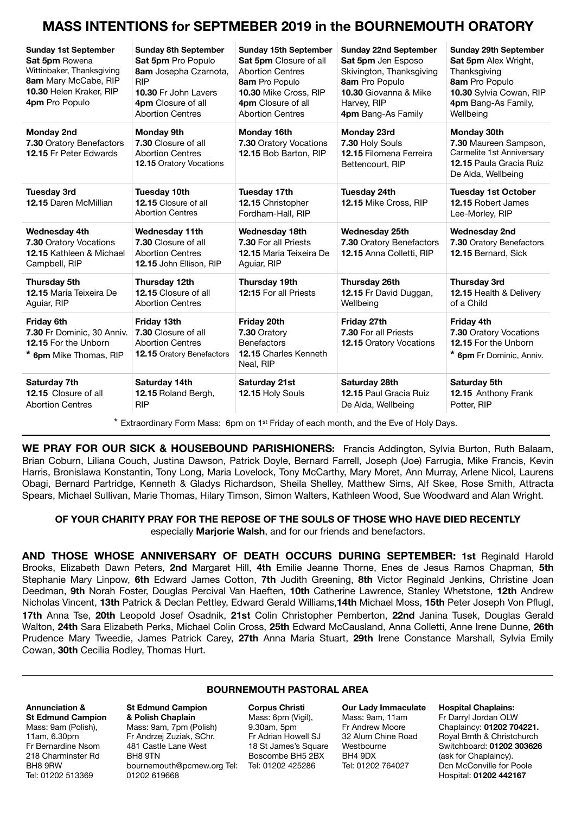## **MASS INTENTIONS for SEPTMEBER 2019 in the BOURNEMOUTH ORATORY**

| <b>Sunday 1st September</b><br>Sat 5pm Rowena<br>Wittinbaker, Thanksgiving<br>8am Mary McCabe, RIP<br>10.30 Helen Kraker, RIP<br>4pm Pro Populo | <b>Sunday 8th September</b><br>Sat 5pm Pro Populo<br>8am Josepha Czarnota,<br><b>RIP</b><br>10.30 Fr John Lavers<br>4pm Closure of all<br><b>Abortion Centres</b>                                           | <b>Sunday 15th September</b><br>Sat 5pm Closure of all<br><b>Abortion Centres</b><br>8am Pro Populo<br>10.30 Mike Cross, RIP<br>4pm Closure of all<br><b>Abortion Centres</b> | <b>Sunday 22nd September</b><br>Sat 5pm Jen Esposo<br>Skivington, Thanksgiving<br>8am Pro Populo<br>10.30 Giovanna & Mike<br>Harvey, RIP<br>4pm Bang-As Family | <b>Sunday 29th September</b><br><b>Sat 5pm</b> Alex Wright,<br>Thanksgiving<br>8am Pro Populo<br>10.30 Sylvia Cowan, RIP<br>4pm Bang-As Family,<br>Wellbeing |
|-------------------------------------------------------------------------------------------------------------------------------------------------|-------------------------------------------------------------------------------------------------------------------------------------------------------------------------------------------------------------|-------------------------------------------------------------------------------------------------------------------------------------------------------------------------------|----------------------------------------------------------------------------------------------------------------------------------------------------------------|--------------------------------------------------------------------------------------------------------------------------------------------------------------|
| <b>Monday 2nd</b><br>7.30 Oratory Benefactors<br>12.15 Fr Peter Edwards                                                                         | <b>Monday 9th</b><br>7.30 Closure of all<br><b>Abortion Centres</b><br><b>12.15 Oratory Vocations</b>                                                                                                       | Monday 16th<br>Monday 23rd<br>7.30 Oratory Vocations<br>7.30 Holy Souls<br>12.15 Bob Barton, RIP<br>12.15 Filomena Ferreira<br>Bettencourt, RIP                               |                                                                                                                                                                | Monday 30th<br>7.30 Maureen Sampson,<br>Carmelite 1st Anniversary<br>12.15 Paula Gracia Ruiz<br>De Alda, Wellbeing                                           |
| <b>Tuesday 3rd</b><br>12.15 Daren McMillian                                                                                                     | Tuesday 10th<br>12.15 Closure of all<br><b>Abortion Centres</b>                                                                                                                                             | <b>Tuesday 17th</b><br>12.15 Christopher<br>Fordham-Hall, RIP                                                                                                                 | Tuesday 24th<br>12.15 Mike Cross, RIP                                                                                                                          | <b>Tuesday 1st October</b><br>12.15 Robert James<br>Lee-Morley, RIP                                                                                          |
| <b>Wednesday 4th</b><br>7.30 Oratory Vocations<br>12.15 Kathleen & Michael<br>Campbell, RIP                                                     | Wednesday 11th<br>7.30 Closure of all<br><b>Abortion Centres</b><br>12.15 John Ellison, RIP                                                                                                                 | <b>Wednesday 18th</b><br><b>Wednesday 25th</b><br>7.30 For all Priests<br>7.30 Oratory Benefactors<br>12.15 Anna Colletti, RIP<br>12.15 Maria Teixeira De<br>Aguiar, RIP      |                                                                                                                                                                | <b>Wednesday 2nd</b><br>7.30 Oratory Benefactors<br>12.15 Bernard, Sick                                                                                      |
| Thursday 5th<br><b>12.15 Maria Teixeira De</b><br>Aguiar, RIP                                                                                   | Thursday 12th<br>12.15 Closure of all<br><b>Abortion Centres</b>                                                                                                                                            | Thursday 19th<br>12:15 For all Priests                                                                                                                                        | Thursday 26th<br>12.15 Fr David Duggan,<br>Wellbeing                                                                                                           | <b>Thursday 3rd</b><br><b>12.15 Health &amp; Delivery</b><br>of a Child                                                                                      |
| <b>Friday 6th</b><br>7.30 Fr Dominic, 30 Anniv.<br>12.15 For the Unborn<br>* 6pm Mike Thomas, RIP                                               | Friday 13th<br>Friday 20th<br>Friday 27th<br>7.30 Oratory<br><b>7.30 Closure of all</b><br><b>Abortion Centres</b><br><b>Benefactors</b><br>12.15 Charles Kenneth<br>12.15 Oratory Benefactors<br>Neal, RIP |                                                                                                                                                                               | 7.30 For all Priests<br><b>12.15 Oratory Vocations</b>                                                                                                         | <b>Friday 4th</b><br>7.30 Oratory Vocations<br>12.15 For the Unborn<br>* 6pm Fr Dominic, Anniv.                                                              |
| Saturday 7th<br>12.15 Closure of all<br><b>Abortion Centres</b>                                                                                 | Saturday 14th<br>12.15 Roland Bergh,<br><b>RIP</b>                                                                                                                                                          | Saturday 21st<br>12.15 Holy Souls                                                                                                                                             | Saturday 28th<br><b>12.15 Paul Gracia Ruiz</b><br>De Alda, Wellbeing                                                                                           | Saturday 5th<br>12.15 Anthony Frank<br>Potter, RIP                                                                                                           |

\* Extraordinary Form Mass: 6pm on 1st Friday of each month, and the Eve of Holy Days.

**WE PRAY FOR OUR SICK & HOUSEBOUND PARISHIONERS:** Francis Addington, Sylvia Burton, Ruth Balaam, Brian Coburn, Liliana Couch, Justina Dawson, Patrick Doyle, Bernard Farrell, Joseph (Joe) Farrugia, Mike Francis, Kevin Harris, Bronislawa Konstantin, Tony Long, Maria Lovelock, Tony McCarthy, Mary Moret, Ann Murray, Arlene Nicol, Laurens Obagi, Bernard Partridge, Kenneth & Gladys Richardson, Sheila Shelley, Matthew Sims, Alf Skee, Rose Smith, Attracta Spears, Michael Sullivan, Marie Thomas, Hilary Timson, Simon Walters, Kathleen Wood, Sue Woodward and Alan Wright.

#### **OF YOUR CHARITY PRAY FOR THE REPOSE OF THE SOULS OF THOSE WHO HAVE DIED RECENTLY**  especially **Marjorie Walsh**, and for our friends and benefactors.

**AND THOSE WHOSE ANNIVERSARY OF DEATH OCCURS DURING SEPTEMBER: 1st** Reginald Harold Brooks, Elizabeth Dawn Peters, **2nd** Margaret Hill, **4th** Emilie Jeanne Thorne, Enes de Jesus Ramos Chapman, **5th**  Stephanie Mary Linpow, **6th** Edward James Cotton, **7th** Judith Greening, **8th** Victor Reginald Jenkins, Christine Joan Deedman, **9th** Norah Foster, Douglas Percival Van Haeften, **10th** Catherine Lawrence, Stanley Whetstone, **12th** Andrew Nicholas Vincent, **13th** Patrick & Declan Pettley, Edward Gerald Williams,**14th** Michael Moss, **15th** Peter Joseph Von Pflugl, **17th** Anna Tse, **20th** Leopold Josef Osadnik, **21st** Colin Christopher Pemberton, **22nd** Janina Tusek, Douglas Gerald Walton, **24th** Sara Elizabeth Perks, Michael Colin Cross, **25th** Edward McCausland, Anna Colletti, Anne Irene Dunne, **26th** Prudence Mary Tweedie, James Patrick Carey, **27th** Anna Maria Stuart, **29th** Irene Constance Marshall, Sylvia Emily Cowan, **30th** Cecilia Rodley, Thomas Hurt.

#### **BOURNEMOUTH PASTORAL AREA**

#### **Annunciation & St Edmund Campion**  Mass: 9am (Polish), 11am, 6.30pm Fr Bernardine Nsom 218 Charminster Rd BH8 9RW Tel: 01202 513369

**St Edmund Campion & Polish Chaplain** Mass: 9am, 7pm (Polish) Fr Andrzej Zuziak, SChr. 481 Castle Lane West BH8 9TN [bournemouth@pcmew.org](mailto:bournemouth@pcmew.org) Tel: Tel: 01202 425286 01202 619668

**Corpus Christi**  Mass: 6pm (Vigil), 9.30am, 5pm Fr Adrian Howell SJ 18 St James's Square Boscombe BH5 2BX

**Our Lady Immaculate**  Mass: 9am, 11am Fr Andrew Moore 32 Alum Chine Road Westbourne BH4 9DX Tel: 01202 764027

#### **Hospital Chaplains:**

Fr Darryl Jordan OLW Chaplaincy: **01202 704221.** Royal Bmth & Christchurch Switchboard: **01202 303626** (ask for Chaplaincy). Dcn McConville for Poole Hospital: **01202 442167**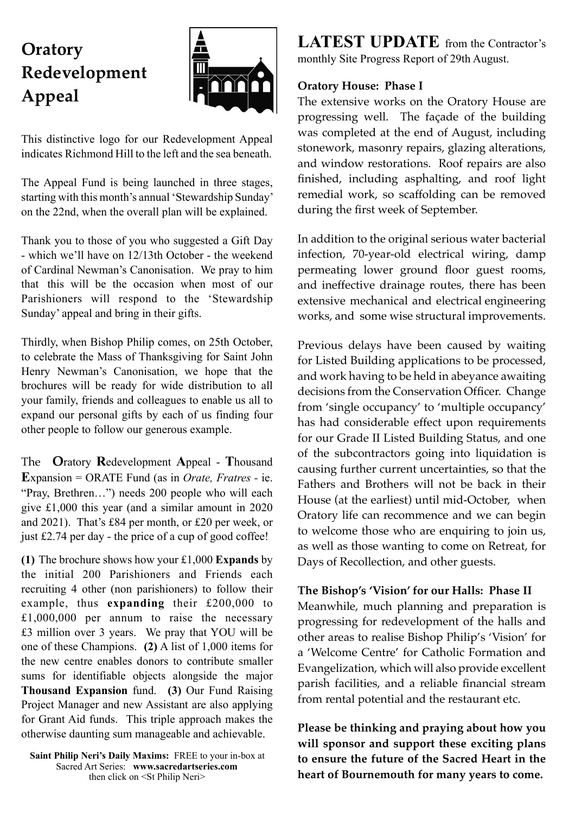# **Oratory Redevelopment Appeal**



This distinctive logo for our Redevelopment Appeal indicates Richmond Hill to the left and the sea beneath.

The Appeal Fund is being launched in three stages, starting with this month's annual 'Stewardship Sunday' on the 22nd, when the overall plan will be explained.

Thank you to those of you who suggested a Gift Day - which we'll have on 12/13th October - the weekend of Cardinal Newman's Canonisation. We pray to him that this will be the occasion when most of our Parishioners will respond to the 'Stewardship Sunday' appeal and bring in their gifts.

Thirdly, when Bishop Philip comes, on 25th October, to celebrate the Mass of Thanksgiving for Saint John Henry Newman's Canonisation, we hope that the brochures will be ready for wide distribution to all your family, friends and colleagues to enable us all to expand our personal gifts by each of us finding four other people to follow our generous example.

The **O**ratory **R**edevelopment **A**ppeal - **T**housand **E**xpansion = ORATE Fund (as in *Orate, Fratres -* ie. "Pray, Brethren…") needs 200 people who will each give £1,000 this year (and a similar amount in 2020 and 2021). That's £84 per month, or £20 per week, or just £2.74 per day - the price of a cup of good coffee!

**(1)** The brochure shows how your £1,000 **Expands** by the initial 200 Parishioners and Friends each recruiting 4 other (non parishioners) to follow their example, thus **expanding** their £200,000 to £1,000,000 per annum to raise the necessary £3 million over 3 years. We pray that YOU will be one of these Champions. **(2)** A list of 1,000 items for the new centre enables donors to contribute smaller sums for identifiable objects alongside the major **Thousand Expansion** fund. **(3)** Our Fund Raising Project Manager and new Assistant are also applying for Grant Aid funds. This triple approach makes the otherwise daunting sum manageable and achievable.

**Saint Philip Neri's Daily Maxims:** FREE to your in-box at Sacred Art Series: **www.sacredart[series.com](http://series.com)** then click on <St Philip Neri>

**LATEST UPDATE** from the Contractor's monthly Site Progress Report of 29th August.

## **Oratory House: Phase I**

The extensive works on the Oratory House are progressing well. The façade of the building was completed at the end of August, including stonework, masonry repairs, glazing alterations, and window restorations. Roof repairs are also finished, including asphalting, and roof light remedial work, so scaffolding can be removed during the first week of September.

In addition to the original serious water bacterial infection, 70-year-old electrical wiring, damp permeating lower ground floor guest rooms, and ineffective drainage routes, there has been extensive mechanical and electrical engineering works, and some wise structural improvements.

Previous delays have been caused by waiting for Listed Building applications to be processed, and work having to be held in abeyance awaiting decisions from the Conservation Officer. Change from 'single occupancy' to 'multiple occupancy' has had considerable effect upon requirements for our Grade II Listed Building Status, and one of the subcontractors going into liquidation is causing further current uncertainties, so that the Fathers and Brothers will not be back in their House (at the earliest) until mid-October, when Oratory life can recommence and we can begin to welcome those who are enquiring to join us, as well as those wanting to come on Retreat, for Days of Recollection, and other guests.

### **The Bishop's 'Vision' for our Halls: Phase II**

Meanwhile, much planning and preparation is progressing for redevelopment of the halls and other areas to realise Bishop Philip's 'Vision' for a 'Welcome Centre' for Catholic Formation and Evangelization, which will also provide excellent parish facilities, and a reliable financial stream from rental potential and the restaurant etc.

**Please be thinking and praying about how you will sponsor and support these exciting plans to ensure the future of the Sacred Heart in the heart of Bournemouth for many years to come.**